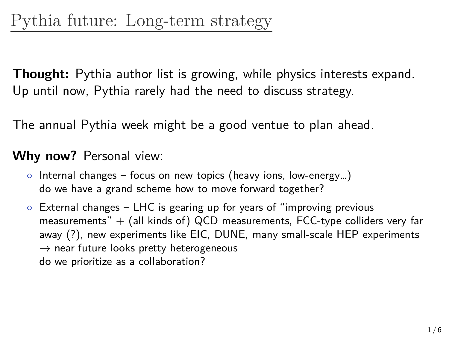**Thought:** Pythia author list is growing, while physics interests expand. Up until now, Pythia rarely had the need to discuss strategy.

The annual Pythia week might be a good ventue to plan ahead.

## **Why now?** Personal view:

- *◦* Internal changes focus on new topics (heavy ions, low-energy…) do we have a grand scheme how to move forward together?
- *◦* External changes LHC is gearing up for years of "improving previous measurements"  $+$  (all kinds of) QCD measurements, FCC-type colliders very far away (?), new experiments like EIC, DUNE, many small-scale HEP experiments *→* near future looks pretty heterogeneous do we prioritize as a collaboration?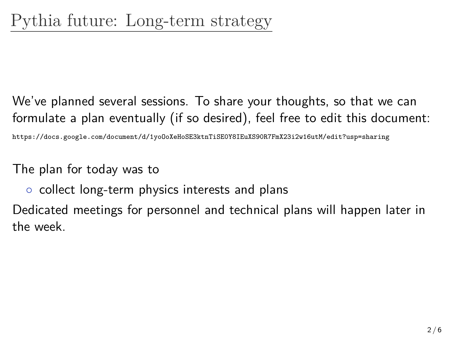We've planned several sessions. To share your thoughts, so that we can formulate a plan eventually (if so desired), feel free to edit this document:

https://docs.google.com/document/d/1yoOoXeHoSE3ktnTiSE0Y8IEuXS90R7FmX23i2w16utM/edit?usp=sharing

The plan for today was to

*◦* collect long-term physics interests and plans

Dedicated meetings for personnel and technical plans will happen later in the week.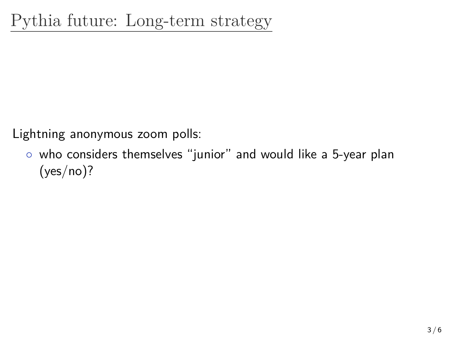Lightning anonymous zoom polls:

*◦* who considers themselves "junior" and would like a 5-year plan  $(yes/no)?$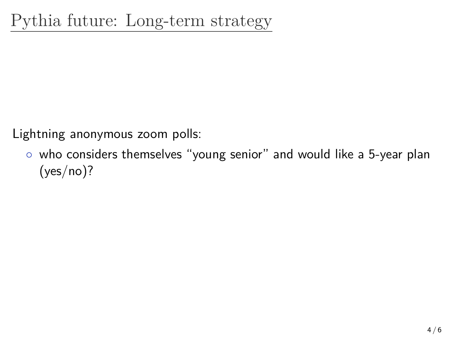Lightning anonymous zoom polls:

*◦* who considers themselves "young senior" and would like a 5-year plan  $(yes/no)?$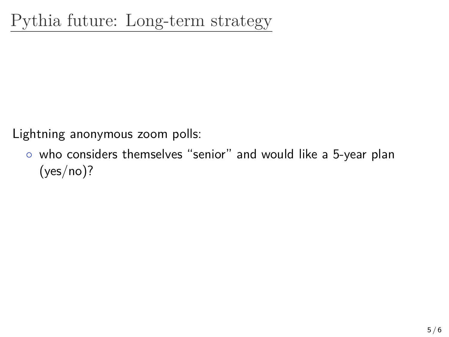Lightning anonymous zoom polls:

*◦* who considers themselves "senior" and would like a 5-year plan  $(yes/no)?$